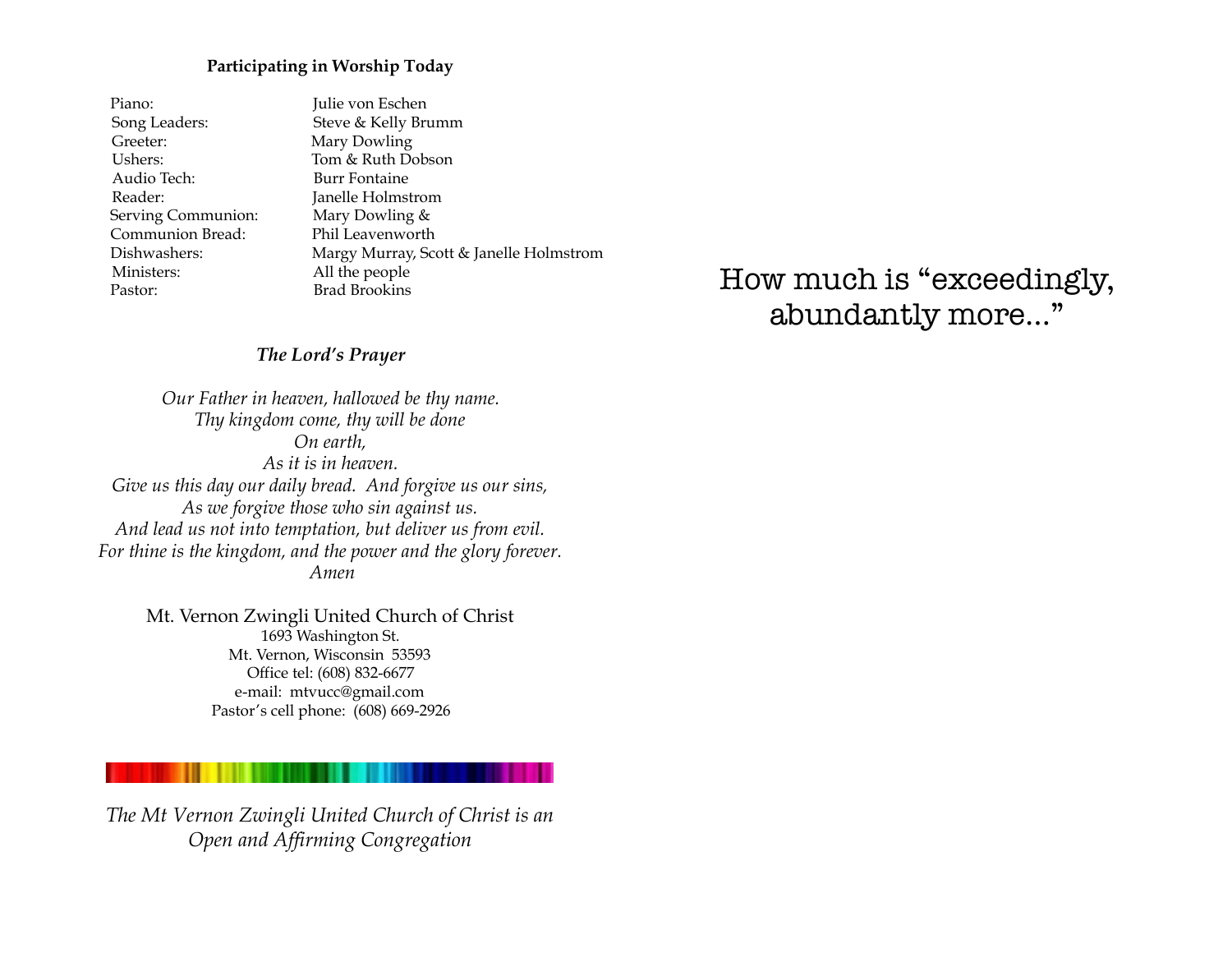#### **Participating in Worship Today**

| Piano:             | Julie von Eschen                        |
|--------------------|-----------------------------------------|
| Song Leaders:      | Steve & Kelly Brumm                     |
| Greeter:           | Mary Dowling                            |
| Ushers:            | Tom & Ruth Dobson                       |
| Audio Tech:        | Burr Fontaine                           |
| Reader:            | Janelle Holmstrom                       |
| Serving Communion: | Mary Dowling &                          |
| Communion Bread:   | Phil Leavenworth                        |
| Dishwashers:       | Margy Murray, Scott & Janelle Holmstrom |
| Ministers:         | All the people                          |
| Pastor:            | <b>Brad Brookins</b>                    |

How much is "exceedingly, abundantly more…"

#### *The Lord's Prayer*

*Our Father in heaven, hallowed be thy name. Thy kingdom come, thy will be done On earth, As it is in heaven. Give us this day our daily bread. And forgive us our sins, As we forgive those who sin against us. And lead us not into temptation, but deliver us from evil. For thine is the kingdom, and the power and the glory forever. Amen*

Mt. Vernon Zwingli United Church of Christ 1693 Washington St. Mt. Vernon, Wisconsin 53593 Office tel: (608) 832-6677 e-mail: mtvucc@gmail.com Pastor's cell phone: (608) 669-2926

*The Mt Vernon Zwingli United Church of Christ is an Open and Affirming Congregation*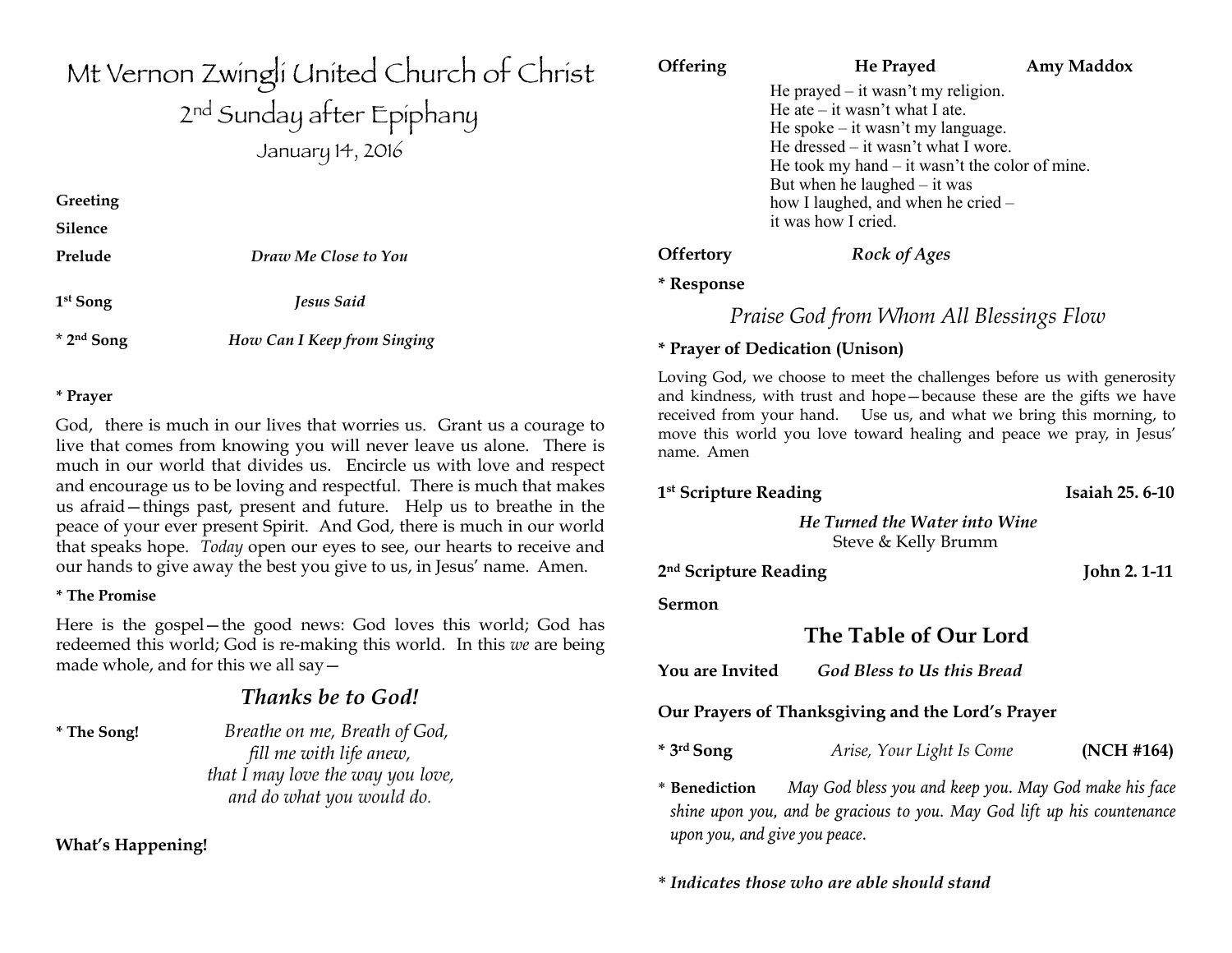# Mt Vernon Zwingli United Church of Christ 2<sup>nd</sup> Sunday after Epiphany January 14, 2016 **Greeting Silence Prelude** *Draw Me Close to You*  **1st Song** *Jesus Said*

\* **2nd Song** *How Can I Keep from Singing*

#### **\* Prayer**

God, there is much in our lives that worries us. Grant us a courage to live that comes from knowing you will never leave us alone. There is much in our world that divides us. Encircle us with love and respect and encourage us to be loving and respectful. There is much that makes us afraid—things past, present and future. Help us to breathe in the peace of your ever present Spirit. And God, there is much in our world that speaks hope. *Today* open our eyes to see, our hearts to receive and our hands to give away the best you give to us, in Jesus' name. Amen.

### **\* The Promise**

Here is the gospel—the good news: God loves this world; God has redeemed this world; God is re-making this world. In this *we* are being made whole, and for this we all say—

## *Thanks be to God!*

**\* The Song!** *Breathe on me, Breath of God, fill me with life anew, that I may love the way you love, and do what you would do.*

**What's Happening!** 

## **Offering The Prayed Amy Maddox** He prayed – it wasn't my religion. He ate  $-$  it wasn't what I ate. He spoke – it wasn't my language. He dressed – it wasn't what I wore. He took my hand – it wasn't the color of mine. But when he laughed  $-$  it was how I laughed, and when he cried – it was how I cried. **Offertory** *Rock of Ages* **\* Response**  *Praise God from Whom All Blessings Flow*  **\* Prayer of Dedication (Unison)**

Loving God, we choose to meet the challenges before us with generosity and kindness, with trust and hope—because these are the gifts we have received from your hand. Use us, and what we bring this morning, to move this world you love toward healing and peace we pray, in Jesus' name. Amen

> *He Turned the Water into Wine* Steve & Kelly Brumm

1<sup>st</sup> Scripture Reading **Isaiah 25. 6-10** 

2<sup>nd</sup> Scripture Reading John 2. 1-11

### **Sermon**

## **The Table of Our Lord**

**You are Invited** *God Bless to Us this Bread*

### **Our Prayers of Thanksgiving and the Lord's Prayer**

**\* 3rd Song** *Arise, Your Light Is Come* **(NCH #164)**

\* **Benediction** *May God bless you and keep you. May God make his face shine upon you, and be gracious to you. May God lift up his countenance upon you, and give you peace.*

\* *Indicates those who are able should stand*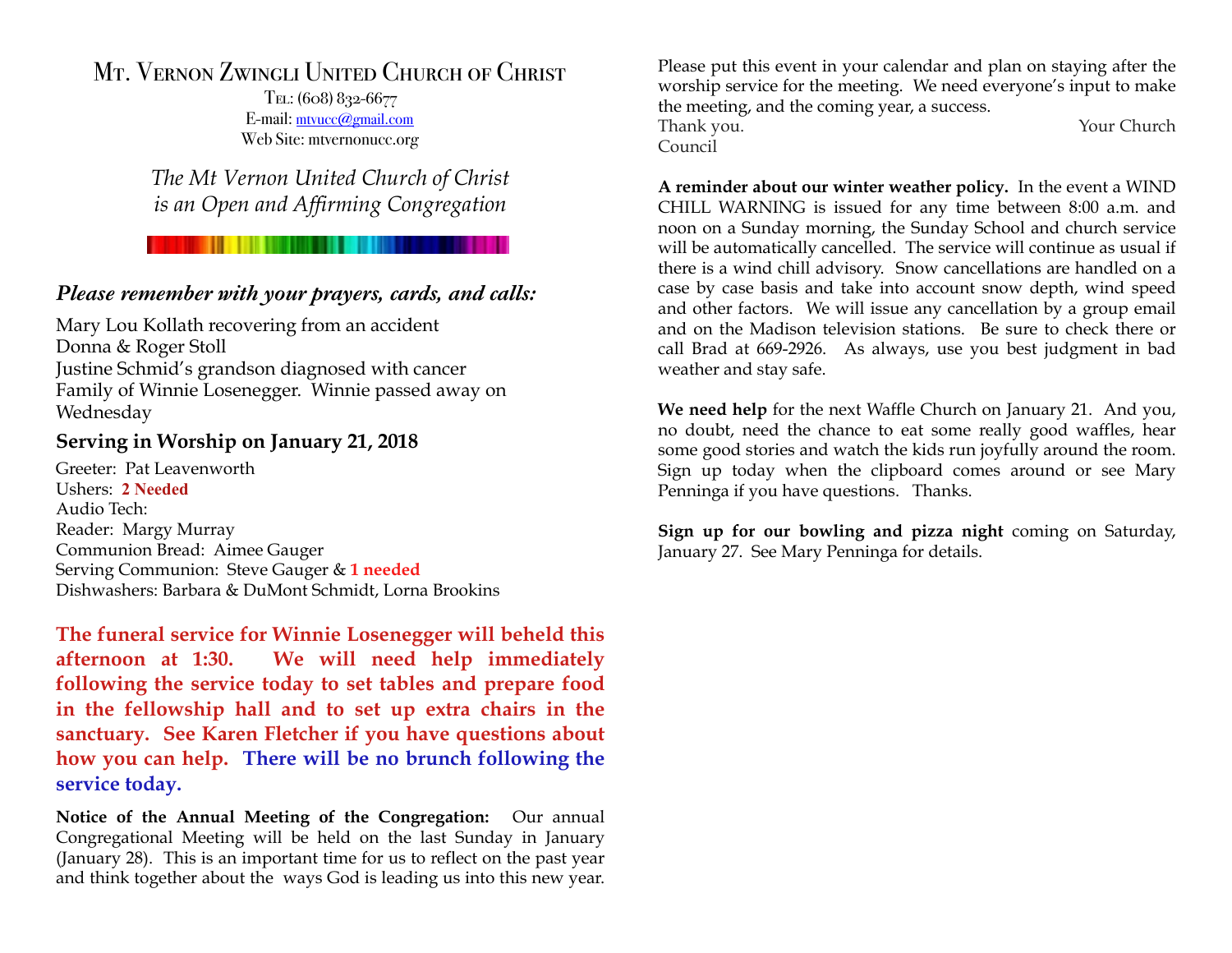## Mt. Vernon Zwingli United Church of Christ

Tel: (608) 832-6677 E-mail: [mtvucc@gmail.com](mailto:mtvucc@gmail.com) Web Site: mtvernonucc.org

*The Mt Vernon United Church of Christ is an Open and Affirming Congregation* 

## *Please remember with your prayers, cards, and calls:*

Mary Lou Kollath recovering from an accident Donna & Roger Stoll Justine Schmid's grandson diagnosed with cancer Family of Winnie Losenegger. Winnie passed away on Wednesday

## **Serving in Worship on January 21, 2018**

Greeter: Pat Leavenworth Ushers: **2 Needed** Audio Tech: Reader: Margy Murray Communion Bread: Aimee Gauger Serving Communion: Steve Gauger & **1 needed** Dishwashers: Barbara & DuMont Schmidt, Lorna Brookins

**The funeral service for Winnie Losenegger will beheld this afternoon at 1:30. We will need help immediately following the service today to set tables and prepare food in the fellowship hall and to set up extra chairs in the sanctuary. See Karen Fletcher if you have questions about how you can help. There will be no brunch following the service today.**

**Notice of the Annual Meeting of the Congregation:** Our annual Congregational Meeting will be held on the last Sunday in January (January 28). This is an important time for us to reflect on the past year and think together about the ways God is leading us into this new year. Please put this event in your calendar and plan on staying after the worship service for the meeting. We need everyone's input to make the meeting, and the coming year, a success.

Council

Thank you. Thank you will be a set of the set of the Your Church

**A reminder about our winter weather policy.** In the event a WIND CHILL WARNING is issued for any time between 8:00 a.m. and noon on a Sunday morning, the Sunday School and church service will be automatically cancelled. The service will continue as usual if there is a wind chill advisory. Snow cancellations are handled on a case by case basis and take into account snow depth, wind speed and other factors. We will issue any cancellation by a group email and on the Madison television stations. Be sure to check there or call Brad at 669-2926. As always, use you best judgment in bad weather and stay safe.

**We need help** for the next Waffle Church on January 21. And you, no doubt, need the chance to eat some really good waffles, hear some good stories and watch the kids run joyfully around the room. Sign up today when the clipboard comes around or see Mary Penninga if you have questions. Thanks.

**Sign up for our bowling and pizza night** coming on Saturday, January 27. See Mary Penninga for details.